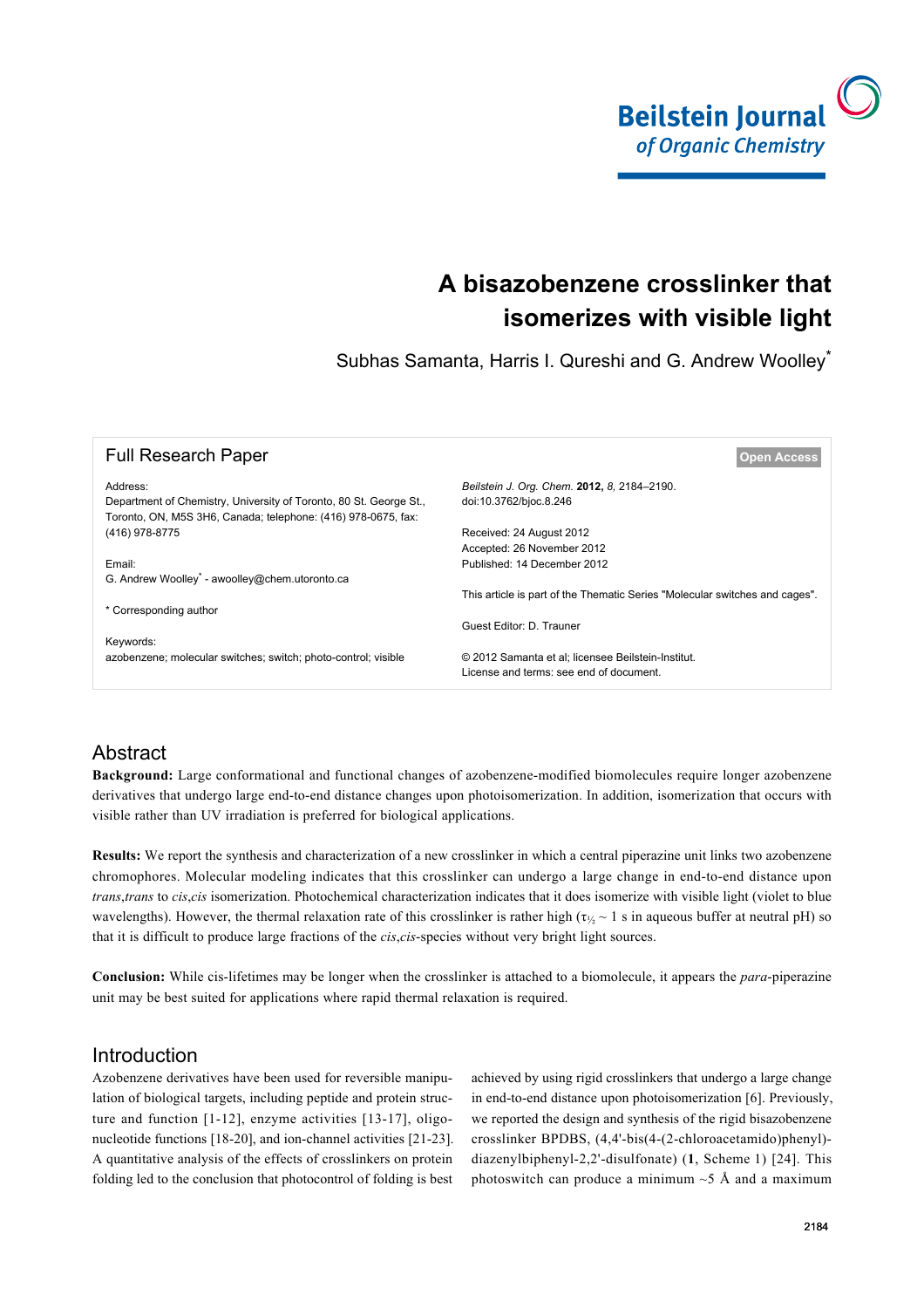

# **A bisazobenzene crosslinker that isomerizes with visible light**

Subhas Samanta, Harris I. Qureshi and G. Andrew Woolley<sup>\*</sup>

| <b>Full Research Paper</b>                                                                                                          | Open Access                                                                                   |
|-------------------------------------------------------------------------------------------------------------------------------------|-----------------------------------------------------------------------------------------------|
| Address:                                                                                                                            | Beilstein J. Org. Chem. 2012, 8, 2184-2190.                                                   |
| Department of Chemistry, University of Toronto, 80 St. George St.,<br>Toronto, ON, M5S 3H6, Canada; telephone: (416) 978-0675, fax: | doi:10.3762/bjoc.8.246                                                                        |
| (416) 978-8775                                                                                                                      | Received: 24 August 2012                                                                      |
|                                                                                                                                     | Accepted: 26 November 2012                                                                    |
| Email:                                                                                                                              | Published: 14 December 2012                                                                   |
| G. Andrew Woolley <sup>*</sup> - awoolley@chem.utoronto.ca                                                                          |                                                                                               |
|                                                                                                                                     | This article is part of the Thematic Series "Molecular switches and cages".                   |
| * Corresponding author                                                                                                              |                                                                                               |
|                                                                                                                                     | Guest Editor: D. Trauner                                                                      |
| Keywords:                                                                                                                           |                                                                                               |
| azobenzene; molecular switches; switch; photo-control; visible                                                                      | © 2012 Samanta et al; licensee Beilstein-Institut.<br>License and terms: see end of document. |

# Abstract

**Background:** Large conformational and functional changes of azobenzene-modified biomolecules require longer azobenzene derivatives that undergo large end-to-end distance changes upon photoisomerization. In addition, isomerization that occurs with visible rather than UV irradiation is preferred for biological applications.

**Results:** We report the synthesis and characterization of a new crosslinker in which a central piperazine unit links two azobenzene chromophores. Molecular modeling indicates that this crosslinker can undergo a large change in end-to-end distance upon *trans*,*trans* to *cis*,*cis* isomerization. Photochemical characterization indicates that it does isomerize with visible light (violet to blue wavelengths). However, the thermal relaxation rate of this crosslinker is rather high ( $\tau_{\gamma} \sim 1$  s in aqueous buffer at neutral pH) so that it is difficult to produce large fractions of the *cis*,*cis*-species without very bright light sources.

**Conclusion:** While cis-lifetimes may be longer when the crosslinker is attached to a biomolecule, it appears the *para*-piperazine unit may be best suited for applications where rapid thermal relaxation is required.

# Introduction

Azobenzene derivatives have been used for reversible manipulation of biological targets, including peptide and protein structure and function [1-12], enzyme activities [13-17], oligonucleotide functions [18-20], and ion-channel activities [21-23]. A quantitative analysis of the effects of crosslinkers on protein folding led to the conclusion that photocontrol of folding is best

achieved by using rigid crosslinkers that undergo a large change in end-to-end distance upon photoisomerization [6]. Previously, we reported the design and synthesis of the rigid bisazobenzene crosslinker BPDBS, (4,4'-bis(4-(2-chloroacetamido)phenyl) diazenylbiphenyl-2,2'-disulfonate) (**1**, Scheme 1) [24]. This photoswitch can produce a minimum  $\sim$  5 Å and a maximum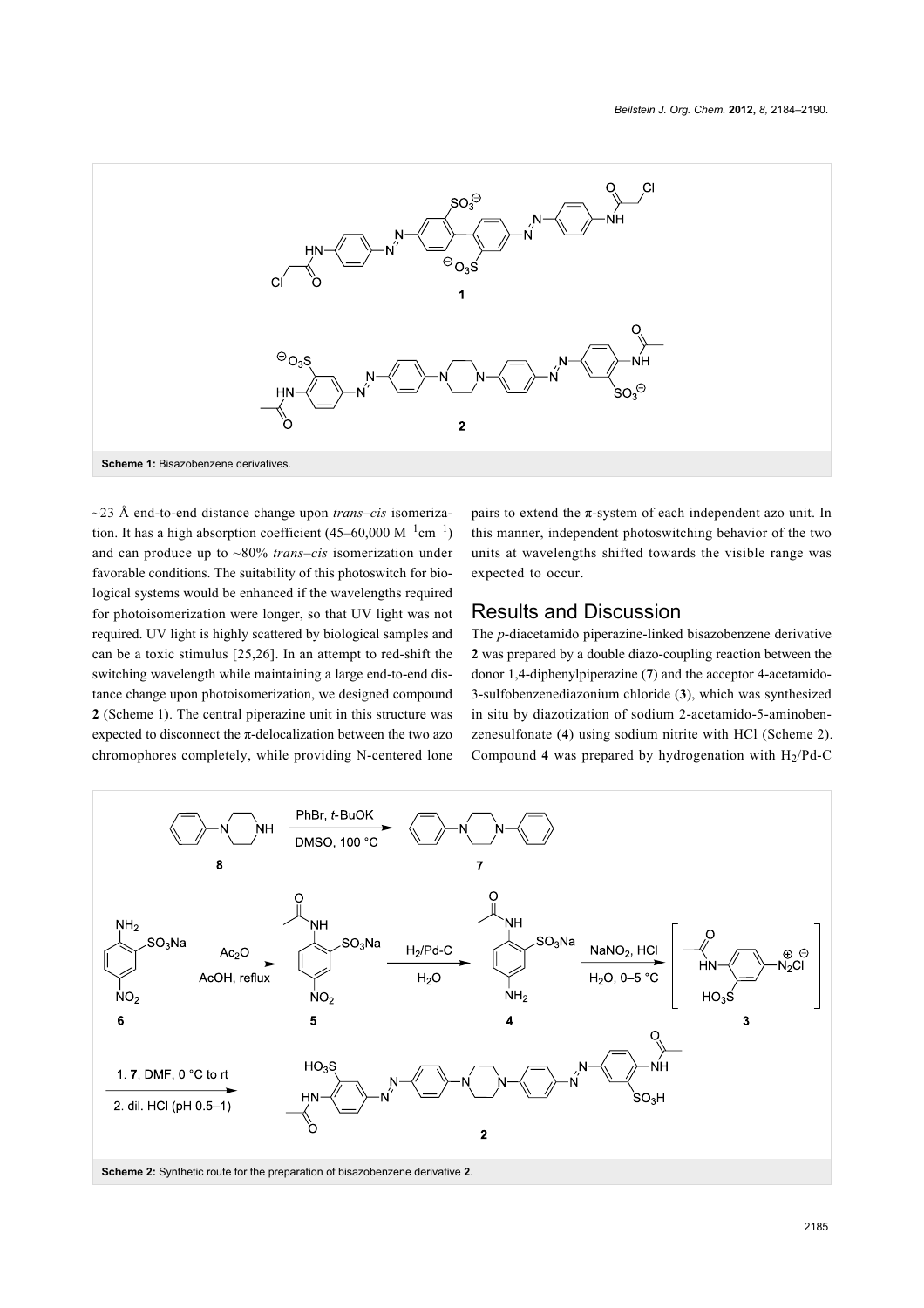

~23 Å end-to-end distance change upon *trans*–*cis* isomerization. It has a high absorption coefficient  $(45-60,000 \text{ M}^{-1} \text{cm}^{-1})$ and can produce up to ~80% *trans*–*cis* isomerization under favorable conditions. The suitability of this photoswitch for biological systems would be enhanced if the wavelengths required for photoisomerization were longer, so that UV light was not required. UV light is highly scattered by biological samples and can be a toxic stimulus [25,26]. In an attempt to red-shift the switching wavelength while maintaining a large end-to-end distance change upon photoisomerization, we designed compound **2** (Scheme 1). The central piperazine unit in this structure was expected to disconnect the  $\pi$ -delocalization between the two azo chromophores completely, while providing N-centered lone pairs to extend the  $\pi$ -system of each independent azo unit. In this manner, independent photoswitching behavior of the two units at wavelengths shifted towards the visible range was expected to occur.

#### Results and Discussion

The *p*-diacetamido piperazine-linked bisazobenzene derivative **2** was prepared by a double diazo-coupling reaction between the donor 1,4-diphenylpiperazine (**7**) and the acceptor 4-acetamido-3-sulfobenzenediazonium chloride (**3**), which was synthesized in situ by diazotization of sodium 2-acetamido-5-aminobenzenesulfonate (**4**) using sodium nitrite with HCl (Scheme 2). Compound 4 was prepared by hydrogenation with  $H_2$ /Pd-C

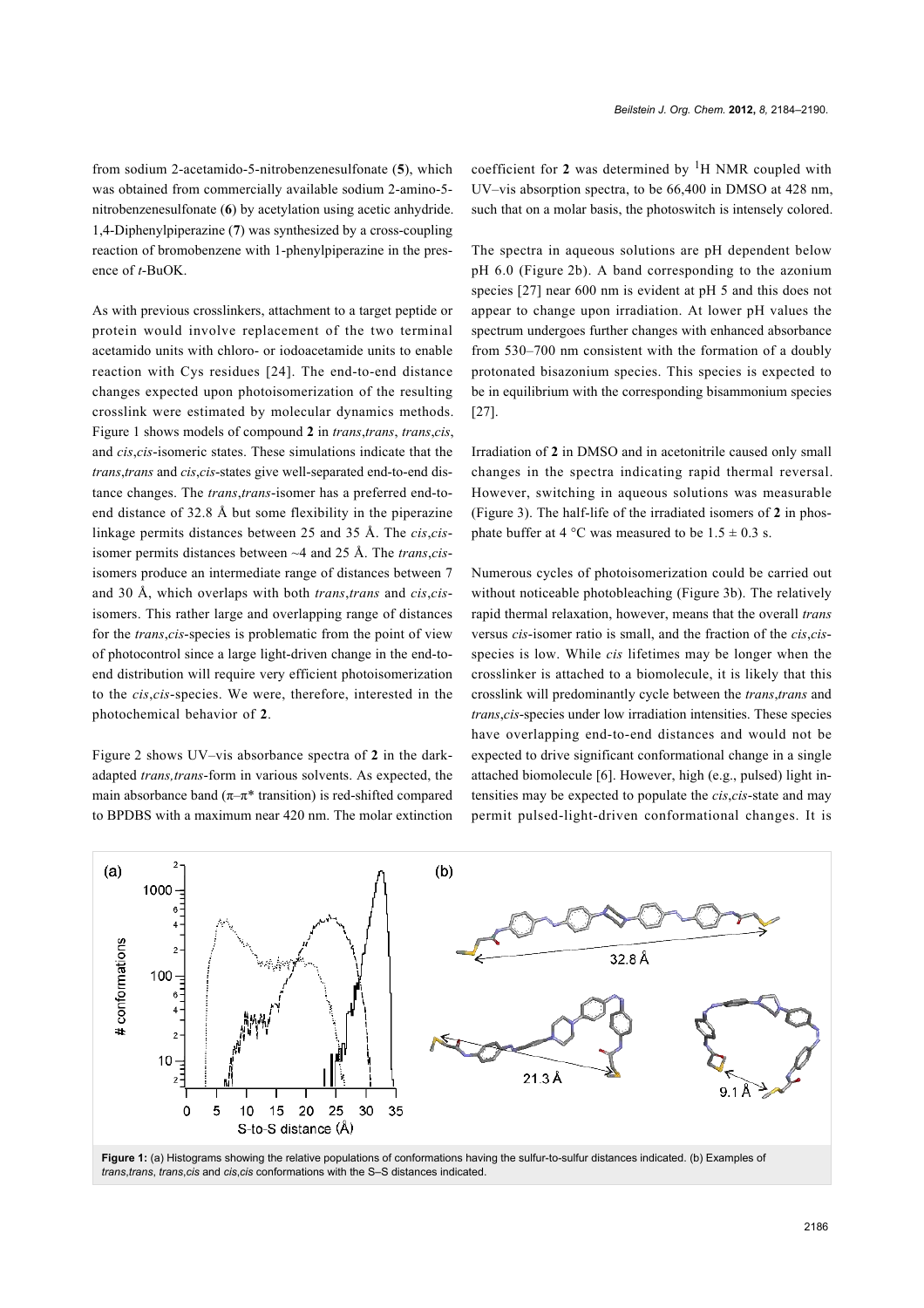*Beilstein J. Org. Chem.* **2012,** *8,* 2184–2190.

from sodium 2-acetamido-5-nitrobenzenesulfonate (**5**), which was obtained from commercially available sodium 2-amino-5 nitrobenzenesulfonate (**6**) by acetylation using acetic anhydride. 1,4-Diphenylpiperazine (**7**) was synthesized by a cross-coupling reaction of bromobenzene with 1-phenylpiperazine in the presence of *t*-BuOK.

As with previous crosslinkers, attachment to a target peptide or protein would involve replacement of the two terminal acetamido units with chloro- or iodoacetamide units to enable reaction with Cys residues [24]. The end-to-end distance changes expected upon photoisomerization of the resulting crosslink were estimated by molecular dynamics methods. Figure 1 shows models of compound **2** in *trans*,*trans*, *trans*,*cis*, and *cis*,*cis*-isomeric states. These simulations indicate that the *trans*,*trans* and *cis*,*cis*-states give well-separated end-to-end distance changes. The *trans*,*trans*-isomer has a preferred end-toend distance of 32.8 Å but some flexibility in the piperazine linkage permits distances between 25 and 35 Å. The *cis*,*cis*isomer permits distances between ~4 and 25 Å. The *trans*,*cis*isomers produce an intermediate range of distances between 7 and 30 Å, which overlaps with both *trans*,*trans* and *cis*,*cis*isomers. This rather large and overlapping range of distances for the *trans*,*cis*-species is problematic from the point of view of photocontrol since a large light-driven change in the end-toend distribution will require very efficient photoisomerization to the *cis*,*cis*-species. We were, therefore, interested in the photochemical behavior of **2**.

Figure 2 shows UV–vis absorbance spectra of **2** in the darkadapted *trans,trans*-form in various solvents. As expected, the main absorbance band ( $\pi-\pi^*$  transition) is red-shifted compared to BPDBS with a maximum near 420 nm. The molar extinction coefficient for **2** was determined by 1H NMR coupled with UV–vis absorption spectra, to be 66,400 in DMSO at 428 nm, such that on a molar basis, the photoswitch is intensely colored.

The spectra in aqueous solutions are pH dependent below pH 6.0 (Figure 2b). A band corresponding to the azonium species [27] near 600 nm is evident at pH 5 and this does not appear to change upon irradiation. At lower pH values the spectrum undergoes further changes with enhanced absorbance from 530–700 nm consistent with the formation of a doubly protonated bisazonium species. This species is expected to be in equilibrium with the corresponding bisammonium species [27].

Irradiation of **2** in DMSO and in acetonitrile caused only small changes in the spectra indicating rapid thermal reversal. However, switching in aqueous solutions was measurable (Figure 3). The half-life of the irradiated isomers of **2** in phosphate buffer at 4 °C was measured to be  $1.5 \pm 0.3$  s.

Numerous cycles of photoisomerization could be carried out without noticeable photobleaching (Figure 3b). The relatively rapid thermal relaxation, however, means that the overall *trans* versus *cis*-isomer ratio is small, and the fraction of the *cis*,*cis*species is low. While *cis* lifetimes may be longer when the crosslinker is attached to a biomolecule, it is likely that this crosslink will predominantly cycle between the *trans*,*trans* and *trans*,*cis*-species under low irradiation intensities. These species have overlapping end-to-end distances and would not be expected to drive significant conformational change in a single attached biomolecule [6]. However, high (e.g., pulsed) light intensities may be expected to populate the *cis*,*cis*-state and may permit pulsed-light-driven conformational changes. It is



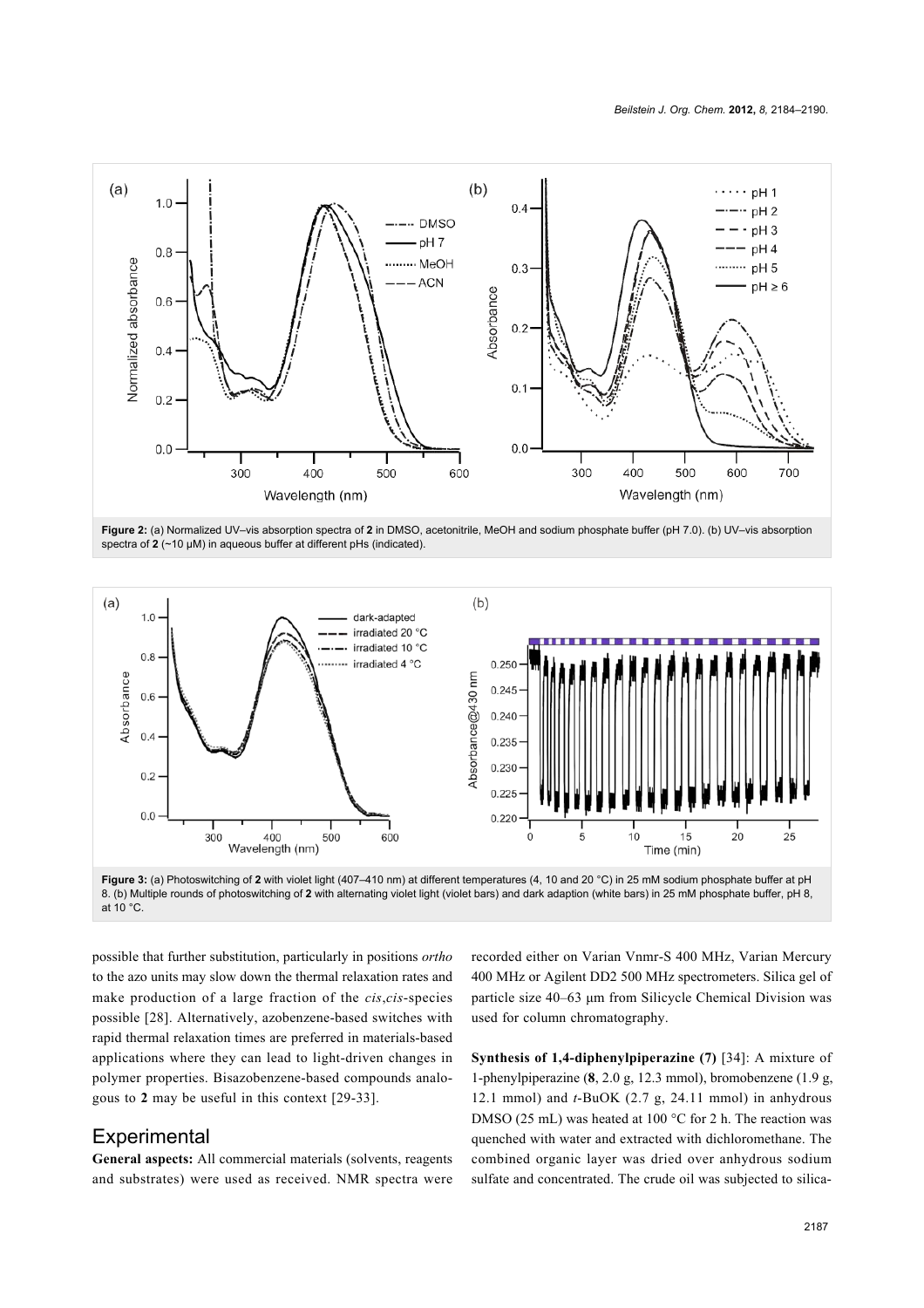

**Figure 2:** (a) Normalized UV–vis absorption spectra of **2** in DMSO, acetonitrile, MeOH and sodium phosphate buffer (pH 7.0). (b) UV–vis absorption spectra of **2** (~10 μM) in aqueous buffer at different pHs (indicated).



**Figure 3:** (a) Photoswitching of **2** with violet light (407–410 nm) at different temperatures (4, 10 and 20 °C) in 25 mM sodium phosphate buffer at pH 8. (b) Multiple rounds of photoswitching of **2** with alternating violet light (violet bars) and dark adaption (white bars) in 25 mM phosphate buffer, pH 8, at 10 °C.

possible that further substitution, particularly in positions *ortho* to the azo units may slow down the thermal relaxation rates and make production of a large fraction of the *cis*,*cis*-species possible [28]. Alternatively, azobenzene-based switches with rapid thermal relaxation times are preferred in materials-based applications where they can lead to light-driven changes in polymer properties. Bisazobenzene-based compounds analogous to **2** may be useful in this context [29-33].

#### **Experimental**

**General aspects:** All commercial materials (solvents, reagents and substrates) were used as received. NMR spectra were

recorded either on Varian Vnmr-S 400 MHz, Varian Mercury 400 MHz or Agilent DD2 500 MHz spectrometers. Silica gel of particle size 40–63 μm from Silicycle Chemical Division was used for column chromatography.

**Synthesis of 1,4-diphenylpiperazine (7)** [34]: A mixture of 1-phenylpiperazine (**8**, 2.0 g, 12.3 mmol), bromobenzene (1.9 g, 12.1 mmol) and *t*-BuOK (2.7 g, 24.11 mmol) in anhydrous DMSO (25 mL) was heated at 100 °C for 2 h. The reaction was quenched with water and extracted with dichloromethane. The combined organic layer was dried over anhydrous sodium sulfate and concentrated. The crude oil was subjected to silica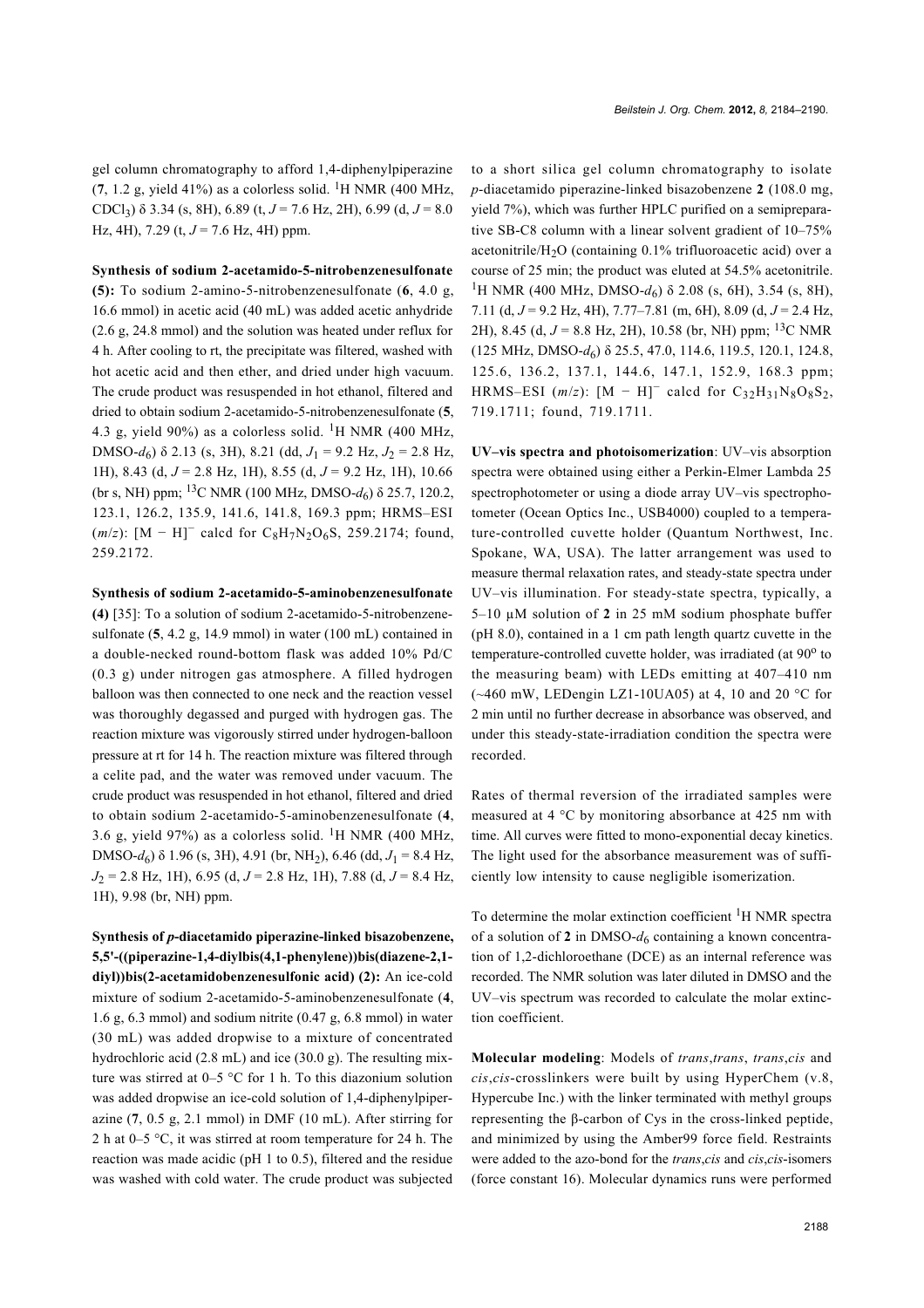gel column chromatography to afford 1,4-diphenylpiperazine  $(7, 1.2 \text{ g}, \text{yield } 41\%)$  as a colorless solid. <sup>1</sup>H NMR (400 MHz, CDCl<sub>3</sub>)  $\delta$  3.34 (s, 8H), 6.89 (t, *J* = 7.6 Hz, 2H), 6.99 (d, *J* = 8.0 Hz, 4H), 7.29 (t, *J* = 7.6 Hz, 4H) ppm.

**Synthesis of sodium 2-acetamido-5-nitrobenzenesulfonate (5):** To sodium 2-amino-5-nitrobenzenesulfonate (**6**, 4.0 g, 16.6 mmol) in acetic acid (40 mL) was added acetic anhydride (2.6 g, 24.8 mmol) and the solution was heated under reflux for 4 h. After cooling to rt, the precipitate was filtered, washed with hot acetic acid and then ether, and dried under high vacuum. The crude product was resuspended in hot ethanol, filtered and dried to obtain sodium 2-acetamido-5-nitrobenzenesulfonate (**5**, 4.3 g, yield 90%) as a colorless solid. <sup>1</sup>H NMR (400 MHz, DMSO- $d_6$ ) δ 2.13 (s, 3H), 8.21 (dd,  $J_1 = 9.2$  Hz,  $J_2 = 2.8$  Hz, 1H), 8.43 (d, *J* = 2.8 Hz, 1H), 8.55 (d, *J* = 9.2 Hz, 1H), 10.66 (br s, NH) ppm; 13C NMR (100 MHz, DMSO-*d*6) δ 25.7, 120.2, 123.1, 126.2, 135.9, 141.6, 141.8, 169.3 ppm; HRMS–ESI  $(m/z)$ : [M – H]<sup>-</sup> calcd for C<sub>8</sub>H<sub>7</sub>N<sub>2</sub>O<sub>6</sub>S, 259.2174; found, 259.2172.

**Synthesis of sodium 2-acetamido-5-aminobenzenesulfonate (4)** [35]: To a solution of sodium 2-acetamido-5-nitrobenzenesulfonate (**5**, 4.2 g, 14.9 mmol) in water (100 mL) contained in a double-necked round-bottom flask was added 10% Pd/C (0.3 g) under nitrogen gas atmosphere. A filled hydrogen balloon was then connected to one neck and the reaction vessel was thoroughly degassed and purged with hydrogen gas. The reaction mixture was vigorously stirred under hydrogen-balloon pressure at rt for 14 h. The reaction mixture was filtered through a celite pad, and the water was removed under vacuum. The crude product was resuspended in hot ethanol, filtered and dried to obtain sodium 2-acetamido-5-aminobenzenesulfonate (**4**, 3.6 g, yield 97%) as a colorless solid. 1H NMR (400 MHz, DMSO-*d*6) δ 1.96 (s, 3H), 4.91 (br, NH2), 6.46 (dd, *J*1 = 8.4 Hz, *J*2 = 2.8 Hz, 1H), 6.95 (d, *J* = 2.8 Hz, 1H), 7.88 (d, *J* = 8.4 Hz, 1H), 9.98 (br, NH) ppm.

**Synthesis of** *p***-diacetamido piperazine-linked bisazobenzene, 5,5'-((piperazine-1,4-diylbis(4,1-phenylene))bis(diazene-2,1 diyl))bis(2-acetamidobenzenesulfonic acid) (2):** An ice-cold mixture of sodium 2-acetamido-5-aminobenzenesulfonate (**4**, 1.6 g, 6.3 mmol) and sodium nitrite (0.47 g, 6.8 mmol) in water (30 mL) was added dropwise to a mixture of concentrated hydrochloric acid (2.8 mL) and ice (30.0 g). The resulting mixture was stirred at 0–5 °C for 1 h. To this diazonium solution was added dropwise an ice-cold solution of 1,4-diphenylpiperazine (**7**, 0.5 g, 2.1 mmol) in DMF (10 mL). After stirring for 2 h at 0–5 °C, it was stirred at room temperature for 24 h. The reaction was made acidic (pH 1 to 0.5), filtered and the residue was washed with cold water. The crude product was subjected

to a short silica gel column chromatography to isolate *p*-diacetamido piperazine-linked bisazobenzene **2** (108.0 mg, yield 7%), which was further HPLC purified on a semipreparative SB-C8 column with a linear solvent gradient of 10–75% acetonitrile/H<sub>2</sub>O (containing  $0.1\%$  trifluoroacetic acid) over a course of 25 min; the product was eluted at 54.5% acetonitrile. <sup>1</sup>H NMR (400 MHz, DMSO- $d_6$ ) δ 2.08 (s, 6H), 3.54 (s, 8H), 7.11 (d, *J* = 9.2 Hz, 4H), 7.77–7.81 (m, 6H), 8.09 (d, *J* = 2.4 Hz, 2H), 8.45 (d,  $J = 8.8$  Hz, 2H), 10.58 (br, NH) ppm; <sup>13</sup>C NMR (125 MHz, DMSO-*d*6) δ 25.5, 47.0, 114.6, 119.5, 120.1, 124.8, 125.6, 136.2, 137.1, 144.6, 147.1, 152.9, 168.3 ppm; HRMS–ESI  $(m/z)$ :  $[M - H]$ <sup>-</sup> calcd for C<sub>32</sub>H<sub>31</sub>N<sub>8</sub>O<sub>8</sub>S<sub>2</sub>, 719.1711; found, 719.1711.

**UV–vis spectra and photoisomerization**: UV–vis absorption spectra were obtained using either a Perkin-Elmer Lambda 25 spectrophotometer or using a diode array UV–vis spectrophotometer (Ocean Optics Inc., USB4000) coupled to a temperature-controlled cuvette holder (Quantum Northwest, Inc. Spokane, WA, USA). The latter arrangement was used to measure thermal relaxation rates, and steady-state spectra under UV–vis illumination. For steady-state spectra, typically, a 5–10 µM solution of **2** in 25 mM sodium phosphate buffer (pH 8.0), contained in a 1 cm path length quartz cuvette in the temperature-controlled cuvette holder, was irradiated (at 90° to the measuring beam) with LEDs emitting at 407–410 nm  $(*460$  mW, LEDengin LZ1-10UA05) at 4, 10 and 20 °C for 2 min until no further decrease in absorbance was observed, and under this steady-state-irradiation condition the spectra were recorded.

Rates of thermal reversion of the irradiated samples were measured at 4 °C by monitoring absorbance at 425 nm with time. All curves were fitted to mono-exponential decay kinetics. The light used for the absorbance measurement was of sufficiently low intensity to cause negligible isomerization.

To determine the molar extinction coefficient <sup>1</sup>H NMR spectra of a solution of 2 in DMSO- $d_6$  containing a known concentration of 1,2-dichloroethane (DCE) as an internal reference was recorded. The NMR solution was later diluted in DMSO and the UV–vis spectrum was recorded to calculate the molar extinction coefficient.

**Molecular modeling**: Models of *trans*,*trans*, *trans*,*cis* and *cis*,*cis*-crosslinkers were built by using HyperChem (v.8, Hypercube Inc.) with the linker terminated with methyl groups representing the β-carbon of Cys in the cross-linked peptide, and minimized by using the Amber99 force field. Restraints were added to the azo-bond for the *trans*,*cis* and *cis*,*cis*-isomers (force constant 16). Molecular dynamics runs were performed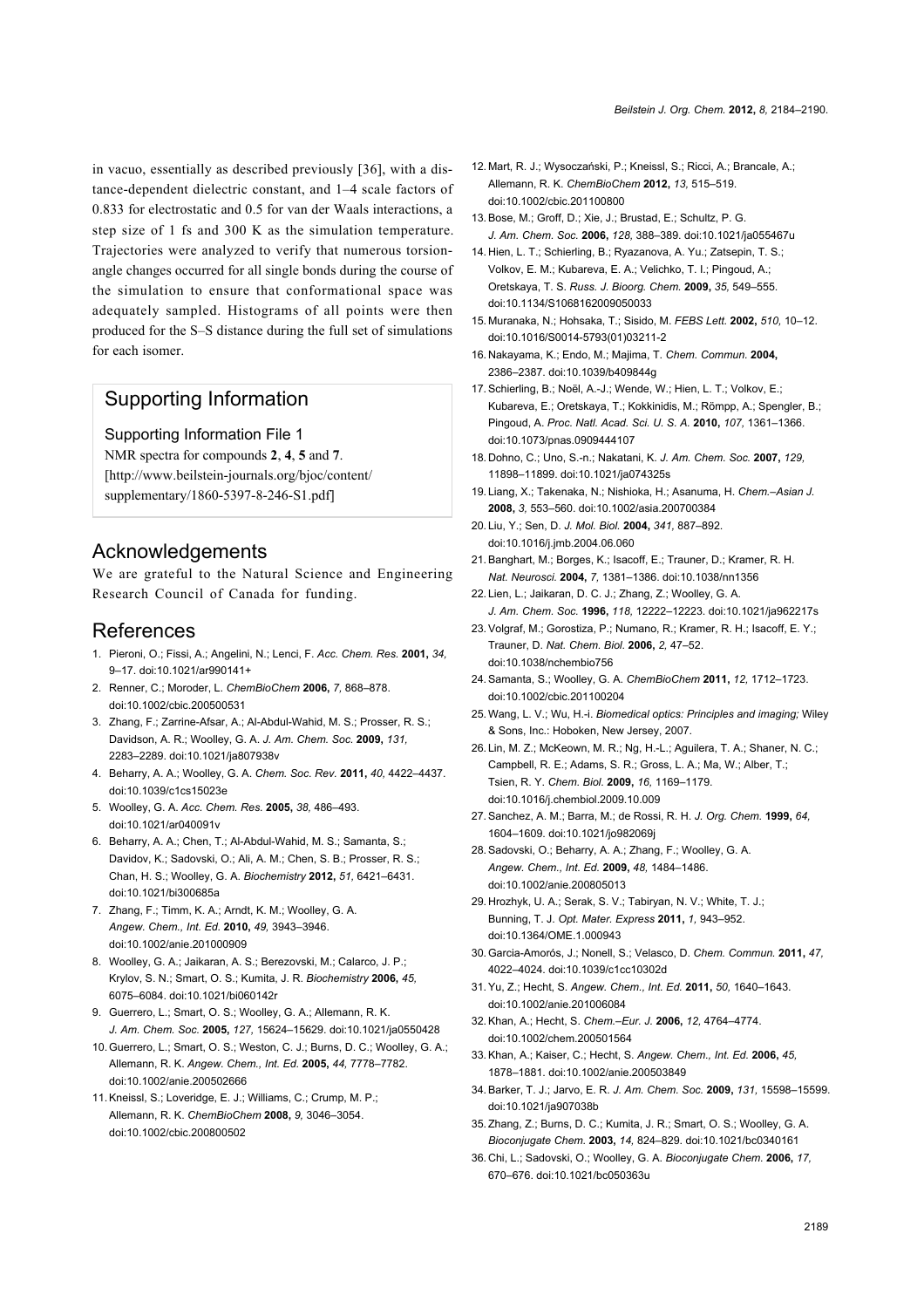in vacuo, essentially as described previously [36], with a distance-dependent dielectric constant, and 1–4 scale factors of 0.833 for electrostatic and 0.5 for van der Waals interactions, a step size of 1 fs and 300 K as the simulation temperature. Trajectories were analyzed to verify that numerous torsionangle changes occurred for all single bonds during the course of the simulation to ensure that conformational space was adequately sampled. Histograms of all points were then produced for the S–S distance during the full set of simulations for each isomer.

#### Supporting Information

Supporting Information File 1 NMR spectra for compounds **2**, **4**, **5** and **7**. [http://www.beilstein-journals.org/bjoc/content/ supplementary/1860-5397-8-246-S1.pdf]

### Acknowledgements

We are grateful to the Natural Science and Engineering Research Council of Canada for funding.

#### References

- 1. Pieroni, O.; Fissi, A.; Angelini, N.; Lenci, F. *Acc. Chem. Res.* **2001,** *34,* 9–17. doi:10.1021/ar990141+
- 2. Renner, C.; Moroder, L. *ChemBioChem* **2006,** *7,* 868–878. doi:10.1002/cbic.200500531
- 3. Zhang, F.; Zarrine-Afsar, A.; Al-Abdul-Wahid, M. S.; Prosser, R. S.; Davidson, A. R.; Woolley, G. A. *J. Am. Chem. Soc.* **2009,** *131,* 2283–2289. doi:10.1021/ja807938v
- 4. Beharry, A. A.; Woolley, G. A. *Chem. Soc. Rev.* **2011,** *40,* 4422–4437. doi:10.1039/c1cs15023e
- 5. Woolley, G. A. *Acc. Chem. Res.* **2005,** *38,* 486–493. doi:10.1021/ar040091v
- 6. Beharry, A. A.; Chen, T.; Al-Abdul-Wahid, M. S.; Samanta, S.; Davidov, K.; Sadovski, O.; Ali, A. M.; Chen, S. B.; Prosser, R. S.; Chan, H. S.; Woolley, G. A. *Biochemistry* **2012,** *51,* 6421–6431. doi:10.1021/bi300685a
- 7. Zhang, F.; Timm, K. A.; Arndt, K. M.; Woolley, G. A. *Angew. Chem., Int. Ed.* **2010,** *49,* 3943–3946. doi:10.1002/anie.201000909
- 8. Woolley, G. A.; Jaikaran, A. S.; Berezovski, M.; Calarco, J. P.; Krylov, S. N.; Smart, O. S.; Kumita, J. R. *Biochemistry* **2006,** *45,* 6075–6084. doi:10.1021/bi060142r
- 9. Guerrero, L.; Smart, O. S.; Woolley, G. A.; Allemann, R. K. *J. Am. Chem. Soc.* **2005,** *127,* 15624–15629. doi:10.1021/ja0550428
- 10. Guerrero, L.; Smart, O. S.; Weston, C. J.; Burns, D. C.; Woolley, G. A.; Allemann, R. K. *Angew. Chem., Int. Ed.* **2005,** *44,* 7778–7782. doi:10.1002/anie.200502666
- 11. Kneissl, S.; Loveridge, E. J.; Williams, C.; Crump, M. P.; Allemann, R. K. *ChemBioChem* **2008,** *9,* 3046–3054. doi:10.1002/cbic.200800502
- 12. Mart, R. J.; Wysoczański, P.; Kneissl, S.; Ricci, A.; Brancale, A.; Allemann, R. K. *ChemBioChem* **2012,** *13,* 515–519. doi:10.1002/cbic.201100800
- 13. Bose, M.; Groff, D.; Xie, J.; Brustad, E.; Schultz, P. G. *J. Am. Chem. Soc.* **2006,** *128,* 388–389. doi:10.1021/ja055467u
- 14. Hien, L. T.; Schierling, B.; Ryazanova, A. Yu.; Zatsepin, T. S.; Volkov, E. M.; Kubareva, E. A.; Velichko, T. I.; Pingoud, A.; Oretskaya, T. S. *Russ. J. Bioorg. Chem.* **2009,** *35,* 549–555. doi:10.1134/S1068162009050033
- 15. Muranaka, N.; Hohsaka, T.; Sisido, M. *FEBS Lett.* **2002,** *510,* 10–12. doi:10.1016/S0014-5793(01)03211-2
- 16. Nakayama, K.; Endo, M.; Majima, T. *Chem. Commun.* **2004,** 2386–2387. doi:10.1039/b409844g
- 17. Schierling, B.; Noël, A.-J.; Wende, W.; Hien, L. T.; Volkov, E.; Kubareva, E.; Oretskaya, T.; Kokkinidis, M.; Römpp, A.; Spengler, B.; Pingoud, A. *Proc. Natl. Acad. Sci. U. S. A.* **2010,** *107,* 1361–1366. doi:10.1073/pnas.0909444107
- 18. Dohno, C.; Uno, S.-n.; Nakatani, K. *J. Am. Chem. Soc.* **2007,** *129,* 11898–11899. doi:10.1021/ja074325s
- 19. Liang, X.; Takenaka, N.; Nishioka, H.; Asanuma, H. *Chem.–Asian J.* **2008,** *3,* 553–560. doi:10.1002/asia.200700384
- 20. Liu, Y.; Sen, D. *J. Mol. Biol.* **2004,** *341,* 887–892. doi:10.1016/j.jmb.2004.06.060
- 21. Banghart, M.; Borges, K.; Isacoff, E.; Trauner, D.; Kramer, R. H. *Nat. Neurosci.* **2004,** *7,* 1381–1386. doi:10.1038/nn1356
- 22. Lien, L.; Jaikaran, D. C. J.; Zhang, Z.; Woolley, G. A. *J. Am. Chem. Soc.* **1996,** *118,* 12222–12223. doi:10.1021/ja962217s
- 23. Volgraf, M.; Gorostiza, P.; Numano, R.; Kramer, R. H.; Isacoff, E. Y.; Trauner, D. *Nat. Chem. Biol.* **2006,** *2,* 47–52. doi:10.1038/nchembio756
- 24. Samanta, S.; Woolley, G. A. *ChemBioChem* **2011,** *12,* 1712–1723. doi:10.1002/cbic.201100204
- 25. Wang, L. V.; Wu, H.-i. *Biomedical optics: Principles and imaging;* Wiley & Sons, Inc.: Hoboken, New Jersey, 2007.
- 26. Lin, M. Z.; McKeown, M. R.; Ng, H.-L.; Aguilera, T. A.; Shaner, N. C.; Campbell, R. E.; Adams, S. R.; Gross, L. A.; Ma, W.; Alber, T.; Tsien, R. Y. *Chem. Biol.* **2009,** *16,* 1169–1179. doi:10.1016/j.chembiol.2009.10.009
- 27. Sanchez, A. M.; Barra, M.; de Rossi, R. H. *J. Org. Chem.* **1999,** *64,* 1604–1609. doi:10.1021/jo982069j
- 28. Sadovski, O.; Beharry, A. A.; Zhang, F.; Woolley, G. A. *Angew. Chem., Int. Ed.* **2009,** *48,* 1484–1486. doi:10.1002/anie.200805013
- 29. Hrozhyk, U. A.; Serak, S. V.; Tabiryan, N. V.; White, T. J.; Bunning, T. J. *Opt. Mater. Express* **2011,** *1,* 943–952. doi:10.1364/OME.1.000943
- 30. Garcia-Amorós, J.; Nonell, S.; Velasco, D. *Chem. Commun.* **2011,** *47,* 4022–4024. doi:10.1039/c1cc10302d
- 31. Yu, Z.; Hecht, S. *Angew. Chem., Int. Ed.* **2011,** *50,* 1640–1643. doi:10.1002/anie.201006084
- 32. Khan, A.; Hecht, S. *Chem.–Eur. J.* **2006,** *12,* 4764–4774. doi:10.1002/chem.200501564
- 33. Khan, A.; Kaiser, C.; Hecht, S. *Angew. Chem., Int. Ed.* **2006,** *45,* 1878–1881. doi:10.1002/anie.200503849
- 34. Barker, T. J.; Jarvo, E. R. *J. Am. Chem. Soc.* **2009,** *131,* 15598–15599. doi:10.1021/ja907038b
- 35. Zhang, Z.; Burns, D. C.; Kumita, J. R.; Smart, O. S.; Woolley, G. A. *Bioconjugate Chem.* **2003,** *14,* 824–829. doi:10.1021/bc0340161
- 36. Chi, L.; Sadovski, O.; Woolley, G. A. *Bioconjugate Chem.* **2006,** *17,* 670–676. doi:10.1021/bc050363u